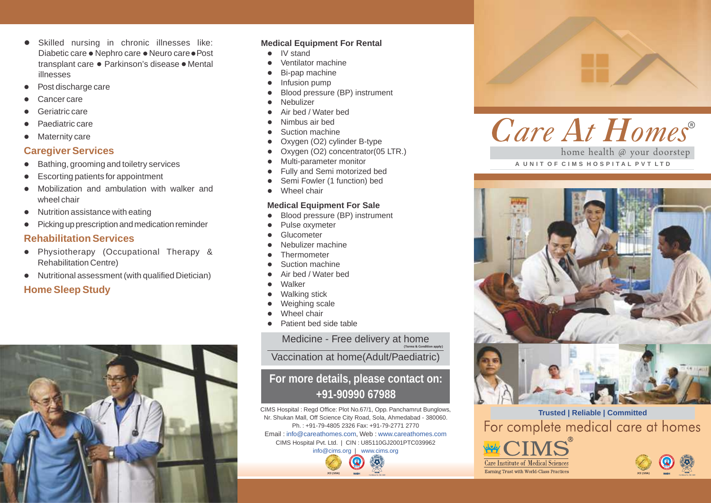- Skilled nursing in chronic illnesses like: Diabetic care ● Nephro care ● Neuro care ● Post transplant care · Parkinson's disease · Mental illnesses
- Post discharge care
- Cancer care
- Geriatric care
- Paediatric care
- Maternity care

# **Caregiver Services**

- $\bullet$  Bathing, grooming and toiletry services
- $\bullet$  Escorting patients for appointment
- l Mobilization and ambulation with walker and wheel chair
- $\bullet$  Nutrition assistance with eating
- $\bullet$  Picking up prescription and medication reminder

# **Rehabilitation Services**

- Physiotherapy (Occupational Therapy & Rehabilitation Centre)
- $\bullet$  Nutritional assessment (with qualified Dietician)

# **Home Sleep Study**



## **Medical Equipment For Rental**

- $\bullet$ IV stand
- l Ventilator machine
- Bi-pap machine
- Infusion pump
- Blood pressure (BP) instrument
- **Nebulizer**
- Air bed / Water bed
- l Nimbus air bed
- Suction machine
- Oxygen (O2) cylinder B-type
- Oxygen (O2) concentrator(05 LTR.)
- Multi-parameter monitor
- Fully and Semi motorized bed
- Semi Fowler (1 function) bed
- Wheel chair

### **Medical Equipment For Sale**

- Blood pressure (BP) instrument
- Pulse oxymeter
- **Glucometer**
- l Nebulizer machine
- **Thermometer**
- Suction machine
- Air bed / Water bed
- Walker
- Walking stick
- Weighing scale
- Wheel chair
- Patient bed side table

Medicine - Free delivery at home

**(Terms & Condition apply)**

Vaccination at home(Adult/Paediatric)

# **For more details, please contact on: +91-90990 67988**

CIMS Hospital : Regd Office: Plot No.67/1, Opp. Panchamrut Bunglows, Nr. Shukan Mall, Off Science City Road, Sola, Ahmedabad - 380060. Ph. : +91-79-4805 2326 Fax: +91-79-2771 2770 Email: info@careathomes.com, Web: www.careathomes.com CIMS Hospital Pvt. Ltd. | CIN : U85110GJ2001PTC039962





home health @ your doorstep **A U N I T O F C I M S H O S P I T A L P V T L T D**



**Trusted | Reliable | Committed** For complete medical care at homes

**Care Institute of Medical Sciences** Earning Trust with World-Class Practices